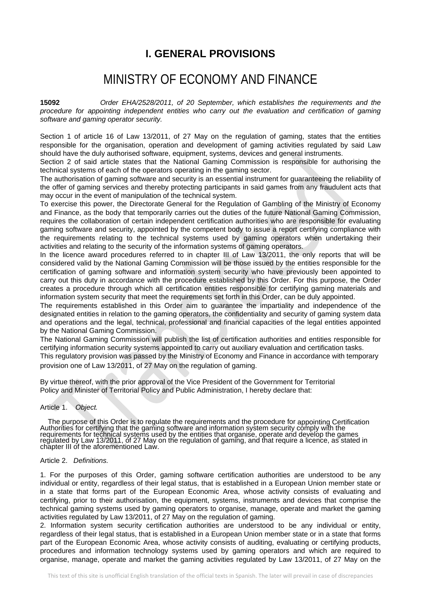# **I. GENERAL PROVISIONS**

# MINISTRY OF ECONOMY AND FINANCE

**15092** *Order EHA/2528/2011, of 20 September, which establishes the requirements and the procedure for appointing independent entities who carry out the evaluation and certification of gaming software and gaming operator security.*

Section 1 of article 16 of Law 13/2011, of 27 May on the regulation of gaming, states that the entities responsible for the organisation, operation and development of gaming activities regulated by said Law should have the duly authorised software, equipment, systems, devices and general instruments.

Section 2 of said article states that the National Gaming Commission is responsible for authorising the technical systems of each of the operators operating in the gaming sector.

The authorisation of gaming software and security is an essential instrument for guaranteeing the reliability of the offer of gaming services and thereby protecting participants in said games from any fraudulent acts that may occur in the event of manipulation of the technical system.

To exercise this power, the Directorate General for the Regulation of Gambling of the Ministry of Economy and Finance, as the body that temporarily carries out the duties of the future National Gaming Commission, requires the collaboration of certain independent certification authorities who are responsible for evaluating gaming software and security, appointed by the competent body to issue a report certifying compliance with the requirements relating to the technical systems used by gaming operators when undertaking their activities and relating to the security of the information systems of gaming operators.

In the licence award procedures referred to in chapter III of Law 13/2011, the only reports that will be considered valid by the National Gaming Commission will be those issued by the entities responsible for the certification of gaming software and information system security who have previously been appointed to carry out this duty in accordance with the procedure established by this Order. For this purpose, the Order creates a procedure through which all certification entities responsible for certifying gaming materials and information system security that meet the requirements set forth in this Order, can be duly appointed.

The requirements established in this Order aim to guarantee the impartiality and independence of the designated entities in relation to the gaming operators, the confidentiality and security of gaming system data and operations and the legal, technical, professional and financial capacities of the legal entities appointed by the National Gaming Commission.

The National Gaming Commission will publish the list of certification authorities and entities responsible for certifying information security systems appointed to carry out auxiliary evaluation and certification tasks. This regulatory provision was passed by the Ministry of Economy and Finance in accordance with temporary provision one of Law 13/2011, of 27 May on the regulation of gaming.

By virtue thereof, with the prior approval of the Vice President of the Government for Territorial Policy and Minister of Territorial Policy and Public Administration, I hereby declare that:

#### Article 1. *Object.*

 The purpose of this Order is to regulate the requirements and the procedure for appointing Certification Authorities for certifying that the gaming software and information system security comply with the requirements for technical systems used by the entities that organise, operate and develop the games<br>regulated by Law 13/2011, of 27 May on the regulation of gaming, and that require a licence, as stated in chapter III of the aforementioned Law.

# Article 2. *Definitions.*

1. For the purposes of this Order, gaming software certification authorities are understood to be any individual or entity, regardless of their legal status, that is established in a European Union member state or in a state that forms part of the European Economic Area, whose activity consists of evaluating and certifying, prior to their authorisation, the equipment, systems, instruments and devices that comprise the technical gaming systems used by gaming operators to organise, manage, operate and market the gaming activities regulated by Law 13/2011, of 27 May on the regulation of gaming.

2. Information system security certification authorities are understood to be any individual or entity, regardless of their legal status, that is established in a European Union member state or in a state that forms part of the European Economic Area, whose activity consists of auditing, evaluating or certifying products, procedures and information technology systems used by gaming operators and which are required to organise, manage, operate and market the gaming activities regulated by Law 13/2011, of 27 May on the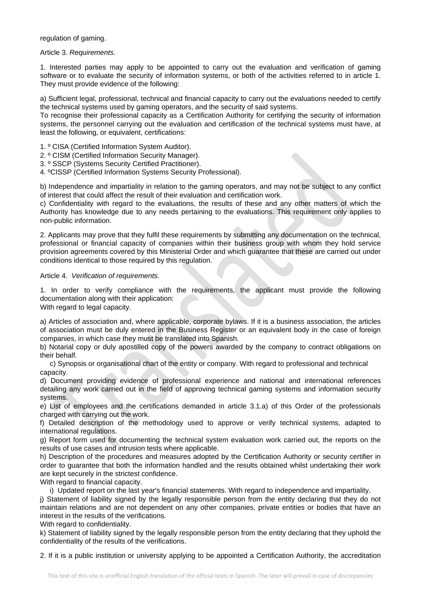regulation of gaming.

Article 3. *Requirements.*

1. Interested parties may apply to be appointed to carry out the evaluation and verification of gaming software or to evaluate the security of information systems, or both of the activities referred to in article 1. They must provide evidence of the following:

a) Sufficient legal, professional, technical and financial capacity to carry out the evaluations needed to certify the technical systems used by gaming operators, and the security of said systems.

To recognise their professional capacity as a Certification Authority for certifying the security of information systems, the personnel carrying out the evaluation and certification of the technical systems must have, at least the following, or equivalent, certifications:

- 1. º CISA (Certified Information System Auditor).
- 2. º CISM (Certified Information Security Manager).
- 3. º SSCP (Systems Security Certified Practitioner).
- 4. ºCISSP (Certified Information Systems Security Professional).

b) Independence and impartiality in relation to the gaming operators, and may not be subject to any conflict of interest that could affect the result of their evaluation and certification work.

c) Confidentiality with regard to the evaluations, the results of these and any other matters of which the Authority has knowledge due to any needs pertaining to the evaluations. This requirement only applies to non-public information.

2. Applicants may prove that they fulfil these requirements by submitting any documentation on the technical, professional or financial capacity of companies within their business group with whom they hold service provision agreements covered by this Ministerial Order and which guarantee that these are carried out under conditions identical to those required by this regulation.

#### Article 4. *Verification of requirements.*

1. In order to verify compliance with the requirements, the applicant must provide the following documentation along with their application:

With regard to legal capacity.

a) Articles of association and, where applicable, corporate bylaws. If it is a business association, the articles of association must be duly entered in the Business Register or an equivalent body in the case of foreign companies, in which case they must be translated into Spanish.

b) Notarial copy or duly apostilled copy of the powers awarded by the company to contract obligations on their behalf.

 c) Synopsis or organisational chart of the entity or company. With regard to professional and technical capacity.

d) Document providing evidence of professional experience and national and international references detailing any work carried out in the field of approving technical gaming systems and information security systems.

e) List of employees and the certifications demanded in article 3.1.a) of this Order of the professionals charged with carrying out the work.

f) Detailed description of the methodology used to approve or verify technical systems, adapted to international regulations.

g) Report form used for documenting the technical system evaluation work carried out, the reports on the results of use cases and intrusion tests where applicable.

h) Description of the procedures and measures adopted by the Certification Authority or security certifier in order to guarantee that both the information handled and the results obtained whilst undertaking their work are kept securely in the strictest confidence.

With regard to financial capacity.

i) Updated report on the last year's financial statements. With regard to independence and impartiality.

j) Statement of liability signed by the legally responsible person from the entity declaring that they do not maintain relations and are not dependent on any other companies, private entities or bodies that have an interest in the results of the verifications.

With regard to confidentiality.

k) Statement of liability signed by the legally responsible person from the entity declaring that they uphold the confidentiality of the results of the verifications.

2. If it is a public institution or university applying to be appointed a Certification Authority, the accreditation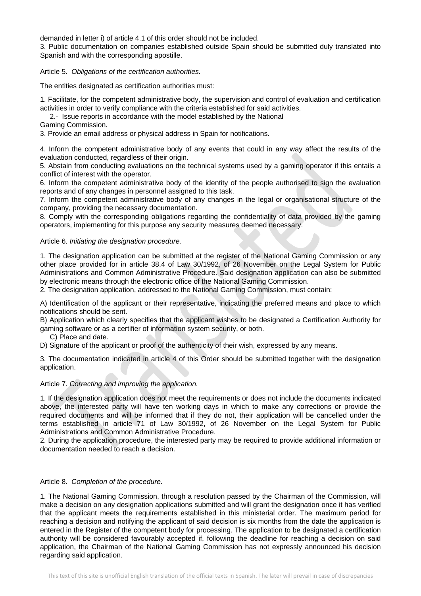demanded in letter i) of article 4.1 of this order should not be included.

3. Public documentation on companies established outside Spain should be submitted duly translated into Spanish and with the corresponding apostille.

Article 5. *Obligations of the certification authorities.*

The entities designated as certification authorities must:

1. Facilitate, for the competent administrative body, the supervision and control of evaluation and certification activities in order to verify compliance with the criteria established for said activities.

2.- Issue reports in accordance with the model established by the National

Gaming Commission.

3. Provide an email address or physical address in Spain for notifications.

4. Inform the competent administrative body of any events that could in any way affect the results of the evaluation conducted, regardless of their origin.

5. Abstain from conducting evaluations on the technical systems used by a gaming operator if this entails a conflict of interest with the operator.

6. Inform the competent administrative body of the identity of the people authorised to sign the evaluation reports and of any changes in personnel assigned to this task.

7. Inform the competent administrative body of any changes in the legal or organisational structure of the company, providing the necessary documentation.

8. Comply with the corresponding obligations regarding the confidentiality of data provided by the gaming operators, implementing for this purpose any security measures deemed necessary.

# Article 6. *Initiating the designation procedure.*

1. The designation application can be submitted at the register of the National Gaming Commission or any other place provided for in article 38.4 of Law 30/1992, of 26 November on the Legal System for Public Administrations and Common Administrative Procedure. Said designation application can also be submitted by electronic means through the electronic office of the National Gaming Commission.

2. The designation application, addressed to the National Gaming Commission, must contain:

A) Identification of the applicant or their representative, indicating the preferred means and place to which notifications should be sent.

B) Application which clearly specifies that the applicant wishes to be designated a Certification Authority for gaming software or as a certifier of information system security, or both.

C) Place and date.

D) Signature of the applicant or proof of the authenticity of their wish, expressed by any means.

3. The documentation indicated in article 4 of this Order should be submitted together with the designation application.

#### Article 7. *Correcting and improving the application.*

1. If the designation application does not meet the requirements or does not include the documents indicated above, the interested party will have ten working days in which to make any corrections or provide the required documents and will be informed that if they do not, their application will be cancelled under the terms established in article 71 of Law 30/1992, of 26 November on the Legal System for Public Administrations and Common Administrative Procedure.

2. During the application procedure, the interested party may be required to provide additional information or documentation needed to reach a decision.

## Article 8. *Completion of the procedure.*

1. The National Gaming Commission, through a resolution passed by the Chairman of the Commission, will make a decision on any designation applications submitted and will grant the designation once it has verified that the applicant meets the requirements established in this ministerial order. The maximum period for reaching a decision and notifying the applicant of said decision is six months from the date the application is entered in the Register of the competent body for processing. The application to be designated a certification authority will be considered favourably accepted if, following the deadline for reaching a decision on said application, the Chairman of the National Gaming Commission has not expressly announced his decision regarding said application.